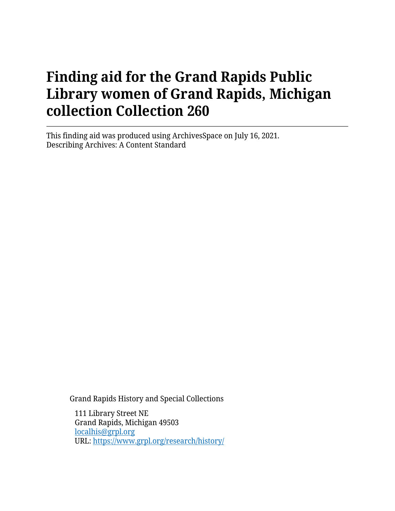# **Finding aid for the Grand Rapids Public Library women of Grand Rapids, Michigan collection Collection 260**

This finding aid was produced using ArchivesSpace on July 16, 2021. Describing Archives: A Content Standard

Grand Rapids History and Special Collections

111 Library Street NE Grand Rapids, Michigan 49503 [localhis@grpl.org](mailto:localhis@grpl.org) URL:<https://www.grpl.org/research/history/>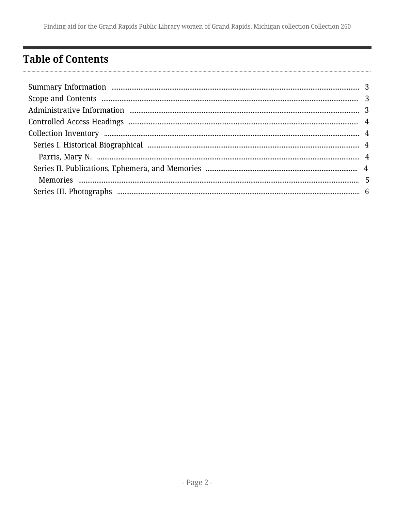Finding aid for the Grand Rapids Public Library women of Grand Rapids, Michigan collection Collection 260

# <span id="page-1-0"></span>**Table of Contents**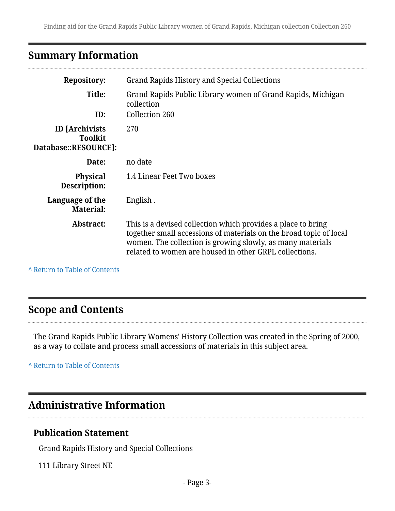# <span id="page-2-0"></span>**Summary Information**

| <b>Repository:</b>                                              | Grand Rapids History and Special Collections                                                                                                                                                                                                               |  |  |
|-----------------------------------------------------------------|------------------------------------------------------------------------------------------------------------------------------------------------------------------------------------------------------------------------------------------------------------|--|--|
| Title:<br>ID:                                                   | Grand Rapids Public Library women of Grand Rapids, Michigan<br>collection<br>Collection 260                                                                                                                                                                |  |  |
| <b>ID</b> [Archivists<br><b>Toolkit</b><br>Database::RESOURCE]: | 270                                                                                                                                                                                                                                                        |  |  |
| Date:                                                           | no date                                                                                                                                                                                                                                                    |  |  |
| <b>Physical</b><br>Description:                                 | 1.4 Linear Feet Two boxes                                                                                                                                                                                                                                  |  |  |
| Language of the<br><b>Material:</b>                             | English.                                                                                                                                                                                                                                                   |  |  |
| Abstract:                                                       | This is a devised collection which provides a place to bring<br>together small accessions of materials on the broad topic of local<br>women. The collection is growing slowly, as many materials<br>related to women are housed in other GRPL collections. |  |  |

**^** [Return to Table of Contents](#page-1-0)

## <span id="page-2-1"></span>**Scope and Contents**

The Grand Rapids Public Library Womens' History Collection was created in the Spring of 2000, as a way to collate and process small accessions of materials in this subject area.

**^** [Return to Table of Contents](#page-1-0)

# <span id="page-2-2"></span>**Administrative Information**

#### **Publication Statement**

Grand Rapids History and Special Collections

111 Library Street NE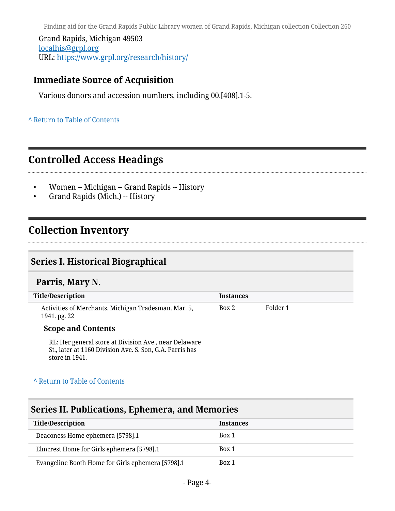Finding aid for the Grand Rapids Public Library women of Grand Rapids, Michigan collection Collection 260

Grand Rapids, Michigan 49503 [localhis@grpl.org](mailto:localhis@grpl.org) URL:<https://www.grpl.org/research/history/>

### **Immediate Source of Acquisition**

Various donors and accession numbers, including 00.[408].1-5.

#### **^** [Return to Table of Contents](#page-1-0)

### <span id="page-3-0"></span>**Controlled Access Headings**

- Women -- Michigan -- Grand Rapids -- History
- Grand Rapids (Mich.) -- History

## <span id="page-3-1"></span>**Collection Inventory**

### <span id="page-3-2"></span>**Series I. Historical Biographical**

#### <span id="page-3-3"></span>**Parris, Mary N.**

| Title/Description                                                    | <b>Instances</b> |          |
|----------------------------------------------------------------------|------------------|----------|
| Activities of Merchants. Michigan Tradesman. Mar. 5,<br>1941. pg. 22 | Box 2            | Folder 1 |

#### **Scope and Contents**

RE: Her general store at Division Ave., near Delaware St., later at 1160 Division Ave. S. Son, G.A. Parris has store in 1941.

#### **^** [Return to Table of Contents](#page-1-0)

#### <span id="page-3-4"></span>**Series II. Publications, Ephemera, and Memories**

| <b>Title/Description</b>                          | <b>Instances</b> |
|---------------------------------------------------|------------------|
| Deaconess Home ephemera [5798].1                  | Box 1            |
| Elmcrest Home for Girls ephemera [5798].1         | Box 1            |
| Evangeline Booth Home for Girls ephemera [5798].1 | Box 1            |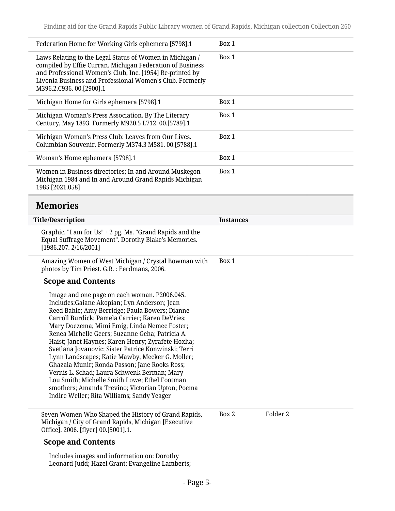<span id="page-4-0"></span>

| Federation Home for Working Girls ephemera [5798].1                                                                                                                                                                                                                                                                                                                                                                                                                                                                                                                                                                                                                                                                    | Box 1            |          |
|------------------------------------------------------------------------------------------------------------------------------------------------------------------------------------------------------------------------------------------------------------------------------------------------------------------------------------------------------------------------------------------------------------------------------------------------------------------------------------------------------------------------------------------------------------------------------------------------------------------------------------------------------------------------------------------------------------------------|------------------|----------|
| Laws Relating to the Legal Status of Women in Michigan /<br>compiled by Effie Curran. Michigan Federation of Business<br>and Professional Women's Club, Inc. [1954] Re-printed by<br>Livonia Business and Professional Women's Club. Formerly<br>M396.2.C936.00.[2900].1                                                                                                                                                                                                                                                                                                                                                                                                                                               | Box 1            |          |
| Michigan Home for Girls ephemera [5798].1                                                                                                                                                                                                                                                                                                                                                                                                                                                                                                                                                                                                                                                                              | Box 1            |          |
| Michigan Woman's Press Association. By The Literary<br>Century, May 1893. Formerly M920.5 L712. 00.[5789].1                                                                                                                                                                                                                                                                                                                                                                                                                                                                                                                                                                                                            | Box 1            |          |
| Michigan Woman's Press Club: Leaves from Our Lives.<br>Columbian Souvenir. Formerly M374.3 M581.00.[5788].1                                                                                                                                                                                                                                                                                                                                                                                                                                                                                                                                                                                                            | Box 1            |          |
| Woman's Home ephemera [5798].1                                                                                                                                                                                                                                                                                                                                                                                                                                                                                                                                                                                                                                                                                         | Box 1            |          |
| Women in Business directories; In and Around Muskegon<br>Michigan 1984 and In and Around Grand Rapids Michigan<br>1985 [2021.058]                                                                                                                                                                                                                                                                                                                                                                                                                                                                                                                                                                                      | Box 1            |          |
| <b>Memories</b>                                                                                                                                                                                                                                                                                                                                                                                                                                                                                                                                                                                                                                                                                                        |                  |          |
| <b>Title/Description</b>                                                                                                                                                                                                                                                                                                                                                                                                                                                                                                                                                                                                                                                                                               | <b>Instances</b> |          |
| Graphic. "I am for Us! + 2 pg. Ms. "Grand Rapids and the<br>Equal Suffrage Movement". Dorothy Blake's Memories.<br>[1986.207.2/16/2001]                                                                                                                                                                                                                                                                                                                                                                                                                                                                                                                                                                                |                  |          |
|                                                                                                                                                                                                                                                                                                                                                                                                                                                                                                                                                                                                                                                                                                                        |                  |          |
| Amazing Women of West Michigan / Crystal Bowman with<br>photos by Tim Priest. G.R. : Eerdmans, 2006.                                                                                                                                                                                                                                                                                                                                                                                                                                                                                                                                                                                                                   | Box 1            |          |
| <b>Scope and Contents</b>                                                                                                                                                                                                                                                                                                                                                                                                                                                                                                                                                                                                                                                                                              |                  |          |
| Image and one page on each woman. P2006.045.<br>Includes: Gaiane Akopian; Lyn Anderson; Jean<br>Reed Bahle; Amy Berridge; Paula Bowers; Dianne<br>Carroll Burdick; Pamela Carrier; Karen DeVries;<br>Mary Doezema; Mimi Emig; Linda Nemec Foster;<br>Renea Michelle Geers; Suzanne Geha; Patricia A.<br>Haist; Janet Haynes; Karen Henry; Zyrafete Hoxha;<br>Svetlana Jovanovic; Sister Patrice Konwinski; Terri<br>Lynn Landscapes; Katie Mawby; Mecker G. Moller;<br>Ghazala Munir; Ronda Passon; Jane Rooks Ross;<br>Vernis L. Schad; Laura Schwenk Berman; Mary<br>Lou Smith; Michelle Smith Lowe; Ethel Footman<br>smothers; Amanda Trevino; Victorian Upton; Poema<br>Indire Weller; Rita Williams; Sandy Yeager |                  |          |
| Seven Women Who Shaped the History of Grand Rapids,<br>Michigan / City of Grand Rapids, Michigan [Executive<br>Office]. 2006. [flyer] 00.[5001].1.                                                                                                                                                                                                                                                                                                                                                                                                                                                                                                                                                                     | Box 2            | Folder 2 |

Includes images and information on: Dorothy Leonard Judd; Hazel Grant; Evangeline Lamberts;